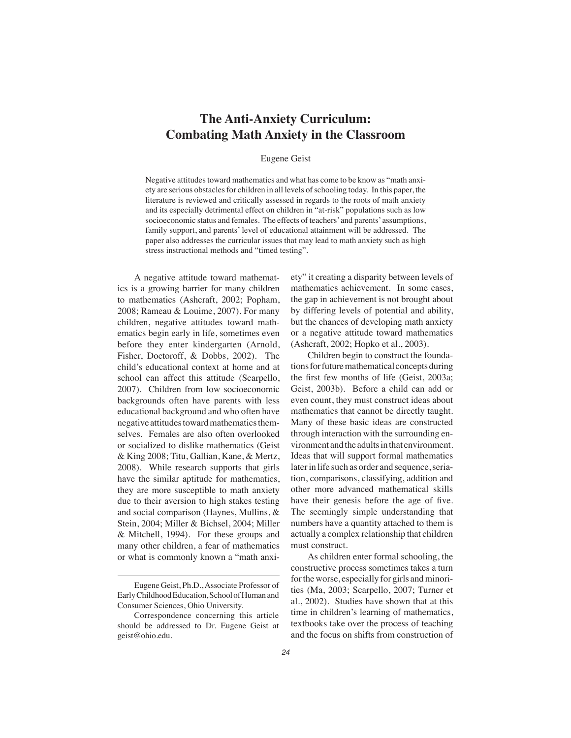# **The Anti-Anxiety Curriculum: Combating Math Anxiety in the Classroom**

### Eugene Geist

Negative attitudes toward mathematics and what has come to be know as "math anxiety are serious obstacles for children in all levels of schooling today. In this paper, the literature is reviewed and critically assessed in regards to the roots of math anxiety and its especially detrimental effect on children in "at-risk" populations such as low socioeconomic status and females. The effects of teachers' and parents' assumptions, family support, and parents' level of educational attainment will be addressed. The paper also addresses the curricular issues that may lead to math anxiety such as high stress instructional methods and "timed testing".

A negative attitude toward mathematics is a growing barrier for many children to mathematics (Ashcraft, 2002; Popham, 2008; Rameau & Louime, 2007). For many children, negative attitudes toward mathematics begin early in life, sometimes even before they enter kindergarten (Arnold, Fisher, Doctoroff, & Dobbs, 2002). The child's educational context at home and at school can affect this attitude (Scarpello, 2007). Children from low socioeconomic backgrounds often have parents with less educational background and who often have negative attitudes toward mathematics themselves. Females are also often overlooked or socialized to dislike mathematics (Geist & King 2008; Titu, Gallian, Kane, & Mertz, 2008). While research supports that girls have the similar aptitude for mathematics, they are more susceptible to math anxiety due to their aversion to high stakes testing and social comparison (Haynes, Mullins, & Stein, 2004; Miller & Bichsel, 2004; Miller & Mitchell, 1994). For these groups and many other children, a fear of mathematics or what is commonly known a "math anxiety" it creating a disparity between levels of mathematics achievement. In some cases, the gap in achievement is not brought about by differing levels of potential and ability, but the chances of developing math anxiety or a negative attitude toward mathematics (Ashcraft, 2002; Hopko et al., 2003).

Children begin to construct the foundations for future mathematical concepts during the first few months of life (Geist, 2003a; Geist, 2003b). Before a child can add or even count, they must construct ideas about mathematics that cannot be directly taught. Many of these basic ideas are constructed through interaction with the surrounding environment and the adults in that environment. Ideas that will support formal mathematics later in life such as order and sequence, seriation, comparisons, classifying, addition and other more advanced mathematical skills have their genesis before the age of five. The seemingly simple understanding that numbers have a quantity attached to them is actually a complex relationship that children must construct.

As children enter formal schooling, the constructive process sometimes takes a turn for the worse, especially for girls and minorities (Ma, 2003; Scarpello, 2007; Turner et al., 2002). Studies have shown that at this time in children's learning of mathematics, textbooks take over the process of teaching and the focus on shifts from construction of

Eugene Geist, Ph.D., Associate Professor of Early Childhood Education, School of Human and Consumer Sciences, Ohio University.

Correspondence concerning this article should be addressed to Dr. Eugene Geist at geist@ohio.edu.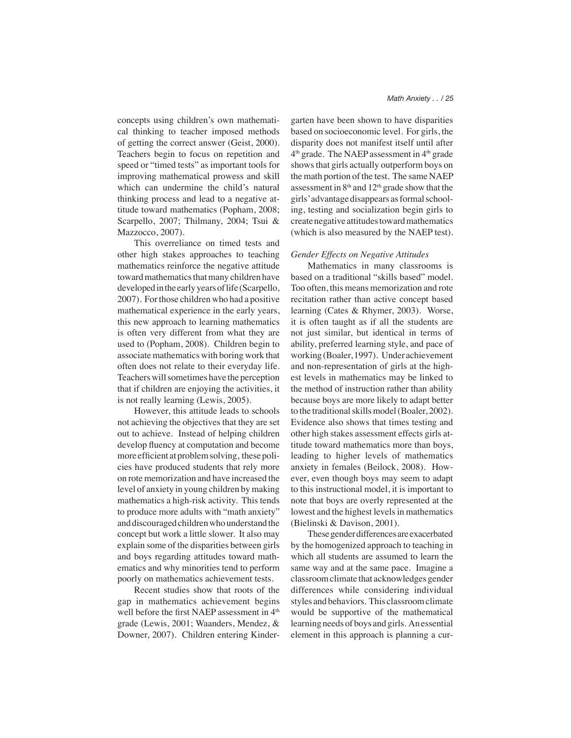concepts using children's own mathematical thinking to teacher imposed methods of getting the correct answer (Geist, 2000). Teachers begin to focus on repetition and speed or "timed tests" as important tools for improving mathematical prowess and skill which can undermine the child's natural thinking process and lead to a negative attitude toward mathematics (Popham, 2008; Scarpello, 2007; Thilmany, 2004; Tsui & Mazzocco, 2007).

This overreliance on timed tests and other high stakes approaches to teaching mathematics reinforce the negative attitude toward mathematics that many children have developed in the early years of life (Scarpello, 2007). For those children who had a positive mathematical experience in the early years, this new approach to learning mathematics is often very different from what they are used to (Popham, 2008). Children begin to associate mathematics with boring work that often does not relate to their everyday life. Teachers will sometimes have the perception that if children are enjoying the activities, it is not really learning (Lewis, 2005).

However, this attitude leads to schools not achieving the objectives that they are set out to achieve. Instead of helping children develop fluency at computation and become more efficient at problem solving, these policies have produced students that rely more on rote memorization and have increased the level of anxiety in young children by making mathematics a high-risk activity. This tends to produce more adults with "math anxiety" and discouraged children who understand the concept but work a little slower. It also may explain some of the disparities between girls and boys regarding attitudes toward mathematics and why minorities tend to perform poorly on mathematics achievement tests.

Recent studies show that roots of the gap in mathematics achievement begins well before the first NAEP assessment in 4<sup>th</sup> grade (Lewis, 2001; Waanders, Mendez, & Downer, 2007). Children entering Kinder-

garten have been shown to have disparities based on socioeconomic level. For girls, the disparity does not manifest itself until after  $4<sup>th</sup>$  grade. The NAEP assessment in  $4<sup>th</sup>$  grade shows that girls actually outperform boys on the math portion of the test. The same NAEP assessment in  $8<sup>th</sup>$  and  $12<sup>th</sup>$  grade show that the girls' advantage disappears as formal schooling, testing and socialization begin girls to create negative attitudes toward mathematics

(which is also measured by the NAEP test).

#### *Gender Effects on Negative Attitudes*

Mathematics in many classrooms is based on a traditional "skills based" model. Too often, this means memorization and rote recitation rather than active concept based learning (Cates & Rhymer, 2003). Worse, it is often taught as if all the students are not just similar, but identical in terms of ability, preferred learning style, and pace of working (Boaler, 1997). Under achievement and non-representation of girls at the highest levels in mathematics may be linked to the method of instruction rather than ability because boys are more likely to adapt better to the traditional skills model (Boaler, 2002). Evidence also shows that times testing and other high stakes assessment effects girls attitude toward mathematics more than boys, leading to higher levels of mathematics anxiety in females (Beilock, 2008). However, even though boys may seem to adapt to this instructional model, it is important to note that boys are overly represented at the lowest and the highest levels in mathematics (Bielinski & Davison, 2001).

These gender differences are exacerbated by the homogenized approach to teaching in which all students are assumed to learn the same way and at the same pace. Imagine a classroom climate that acknowledges gender differences while considering individual styles and behaviors. This classroom climate would be supportive of the mathematical learning needs of boys and girls. An essential element in this approach is planning a cur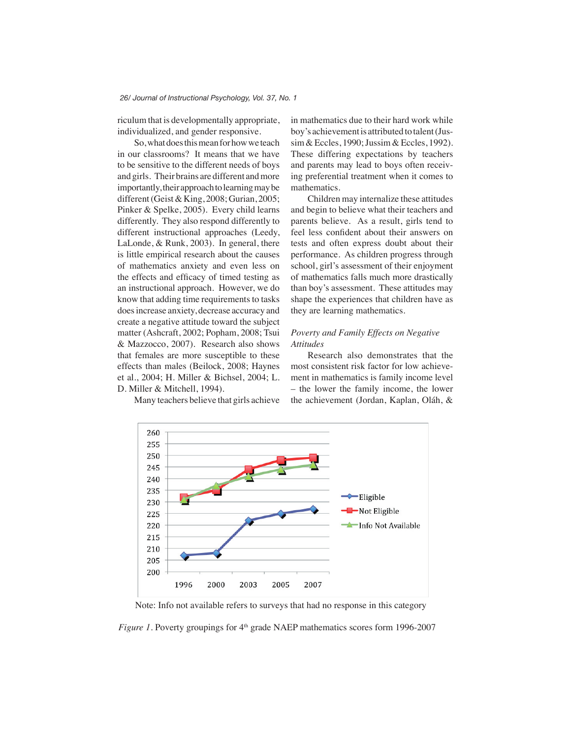riculum that is developmentally appropriate, individualized, and gender responsive.

So, what does this mean for how we teach in our classrooms? It means that we have to be sensitive to the different needs of boys and girls. Their brains are different and more importantly, their approach to learning may be different (Geist & King, 2008; Gurian, 2005; Pinker & Spelke, 2005). Every child learns differently. They also respond differently to different instructional approaches (Leedy, LaLonde, & Runk, 2003). In general, there is little empirical research about the causes of mathematics anxiety and even less on the effects and efficacy of timed testing as an instructional approach. However, we do know that adding time requirements to tasks does increase anxiety, decrease accuracy and create a negative attitude toward the subject matter (Ashcraft, 2002; Popham, 2008; Tsui & Mazzocco, 2007). Research also shows that females are more susceptible to these effects than males (Beilock, 2008; Haynes et al., 2004; H. Miller & Bichsel, 2004; L. D. Miller & Mitchell, 1994).

Many teachers believe that girls achieve

in mathematics due to their hard work while boy's achievement is attributed to talent (Jussim & Eccles, 1990; Jussim & Eccles, 1992). These differing expectations by teachers and parents may lead to boys often receiving preferential treatment when it comes to mathematics.

Children may internalize these attitudes and begin to believe what their teachers and parents believe. As a result, girls tend to feel less confident about their answers on tests and often express doubt about their performance. As children progress through school, girl's assessment of their enjoyment of mathematics falls much more drastically than boy's assessment. These attitudes may shape the experiences that children have as they are learning mathematics.

## *Poverty and Family Effects on Negative Attitudes*

Research also demonstrates that the most consistent risk factor for low achievement in mathematics is family income level – the lower the family income, the lower the achievement (Jordan, Kaplan, Oláh, &



Note: Info not available refers to surveys that had no response in this category

*Figure 1.* Poverty groupings for  $4<sup>th</sup>$  grade NAEP mathematics scores form 1996-2007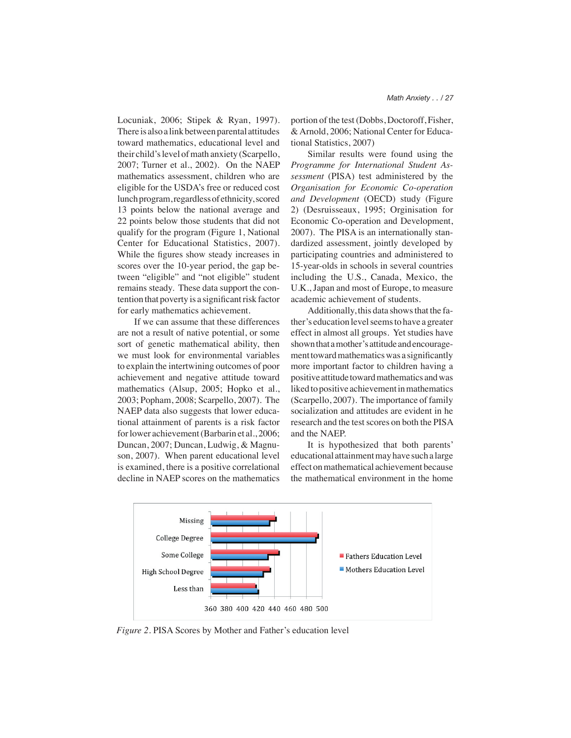Locuniak, 2006; Stipek & Ryan, 1997). There is also a link between parental attitudes toward mathematics, educational level and their child's level of math anxiety (Scarpello, 2007; Turner et al., 2002). On the NAEP mathematics assessment, children who are eligible for the USDA's free or reduced cost lunch program, regardless of ethnicity, scored 13 points below the national average and 22 points below those students that did not qualify for the program (Figure 1, National Center for Educational Statistics, 2007). While the figures show steady increases in scores over the 10-year period, the gap between "eligible" and "not eligible" student remains steady. These data support the contention that poverty is a significant risk factor for early mathematics achievement.

If we can assume that these differences are not a result of native potential, or some sort of genetic mathematical ability, then we must look for environmental variables to explain the intertwining outcomes of poor achievement and negative attitude toward mathematics (Alsup, 2005; Hopko et al., 2003; Popham, 2008; Scarpello, 2007). The NAEP data also suggests that lower educational attainment of parents is a risk factor for lower achievement (Barbarin et al., 2006; Duncan, 2007; Duncan, Ludwig, & Magnuson, 2007). When parent educational level is examined, there is a positive correlational decline in NAEP scores on the mathematics

portion of the test (Dobbs, Doctoroff, Fisher, & Arnold, 2006; National Center for Educational Statistics, 2007)

Similar results were found using the *Programme for International Student Assessment* (PISA) test administered by the *Organisation for Economic Co-operation and Development* (OECD) study (Figure 2) (Desruisseaux, 1995; Orginisation for Economic Co-operation and Development, 2007). The PISA is an internationally standardized assessment, jointly developed by participating countries and administered to 15-year-olds in schools in several countries including the U.S., Canada, Mexico, the U.K., Japan and most of Europe, to measure academic achievement of students.

Additionally, this data shows that the father's education level seems to have a greater effect in almost all groups. Yet studies have shown that a mother's attitude and encouragement toward mathematics was a significantly more important factor to children having a positive attitude toward mathematics and was liked to positive achievement in mathematics (Scarpello, 2007). The importance of family socialization and attitudes are evident in he research and the test scores on both the PISA and the NAEP.

It is hypothesized that both parents' educational attainment may have such a large effect on mathematical achievement because the mathematical environment in the home



*Figure 2.* PISA Scores by Mother and Father's education level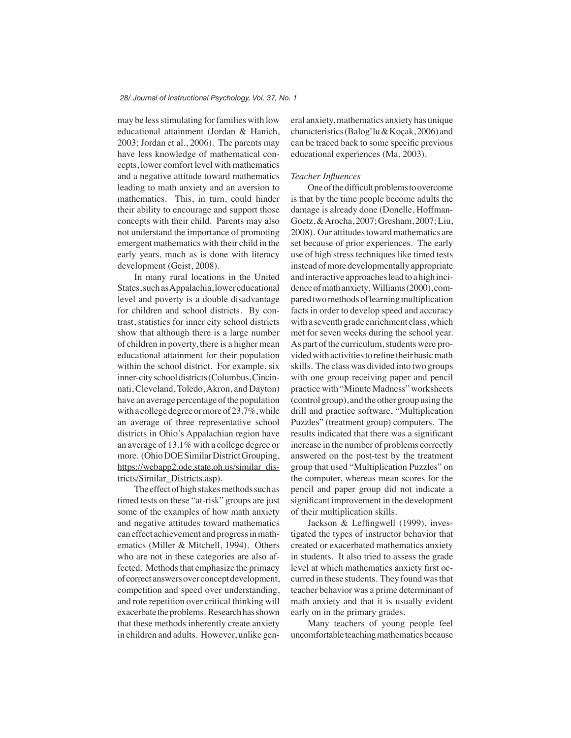may be less stimulating for families with low educational attainment (Jordan & Hanich, 2003; Jordan et al., 2006). The parents may have less knowledge of mathematical concepts, lower comfort level with mathematics and a negative attitude toward mathematics leading to math anxiety and an aversion to mathematics. This, in turn, could hinder their ability to encourage and support those concepts with their child. Parents may also not understand the importance of promoting emergent mathematics with their child in the early years, much as is done with literacy development (Geist, 2008).

In many rural locations in the United States, such as Appalachia, lower educational level and poverty is a double disadvantage for children and school districts. By contrast, statistics for inner city school districts show that although there is a large number of children in poverty, there is a higher mean educational attainment for their population within the school district. For example, six inner-city school districts (Columbus, Cincinnati, Cleveland, Toledo, Akron, and Dayton) have an average percentage of the population with a college degree or more of 23.7%, while an average of three representative school districts in Ohio's Appalachian region have an average of 13.1% with a college degree or more. (Ohio DOE Similar District Grouping, https://webapp2.ode.state.oh.us/similar\_districts/Similar\_Districts.asp).

The effect of high stakes methods such as timed tests on these "at-risk" groups are just some of the examples of how math anxiety and negative attitudes toward mathematics can effect achievement and progress in mathematics (Miller & Mitchell, 1994). Others who are not in these categories are also affected. Methods that emphasize the primacy of correct answers over concept development, competition and speed over understanding, and rote repetition over critical thinking will exacerbate the problems. Research has shown that these methods inherently create anxiety in children and adults. However, unlike general anxiety, mathematics anxiety has unique characteristics (Balogˇlu & Koçak, 2006) and can be traced back to some specific previous educational experiences (Ma, 2003).

#### *Teacher Influences*

One of the difficult problems to overcome is that by the time people become adults the damage is already done (Donelle, Hoffman-Goetz, & Arocha, 2007; Gresham, 2007; Liu, 2008). Our attitudes toward mathematics are set because of prior experiences. The early use of high stress techniques like timed tests instead of more developmentally appropriate and interactive approaches lead to a high incidence of math anxiety. Williams (2000), compared two methods of learning multiplication facts in order to develop speed and accuracy with a seventh grade enrichment class, which met for seven weeks during the school year. As part of the curriculum, students were provided with activities to refine their basic math skills. The class was divided into two groups with one group receiving paper and pencil practice with "Minute Madness" worksheets (control group), and the other group using the drill and practice software, "Multiplication Puzzles" (treatment group) computers. The results indicated that there was a significant increase in the number of problems correctly answered on the post-test by the treatment group that used "Multiplication Puzzles" on the computer, whereas mean scores for the pencil and paper group did not indicate a significant improvement in the development of their multiplication skills.

Jackson & Leffingwell (1999), investigated the types of instructor behavior that created or exacerbated mathematics anxiety in students. It also tried to assess the grade level at which mathematics anxiety first occurred in these students. They found was that teacher behavior was a prime determinant of math anxiety and that it is usually evident early on in the primary grades.

Many teachers of young people feel uncomfortable teaching mathematics because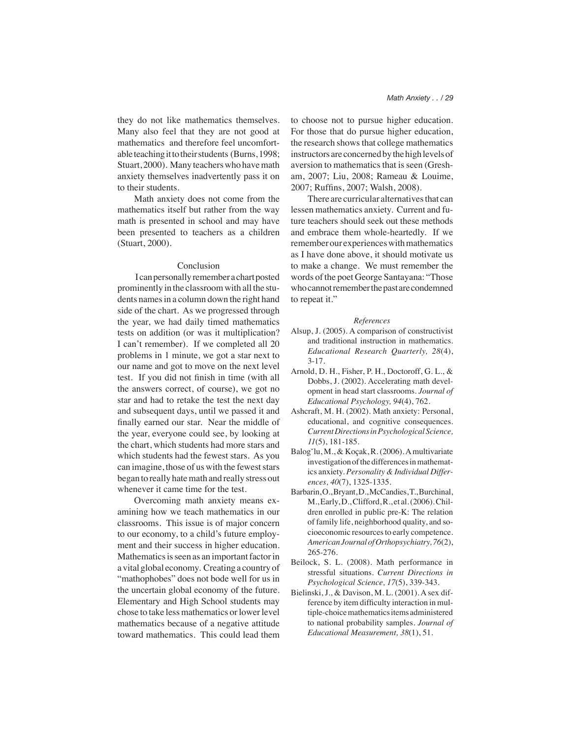they do not like mathematics themselves. Many also feel that they are not good at mathematics and therefore feel uncomfortable teaching it to their students (Burns, 1998; Stuart, 2000). Many teachers who have math anxiety themselves inadvertently pass it on to their students.

Math anxiety does not come from the mathematics itself but rather from the way math is presented in school and may have been presented to teachers as a children (Stuart, 2000).

### Conclusion

 I can personally remember a chart posted prominently in the classroom with all the students names in a column down the right hand side of the chart. As we progressed through the year, we had daily timed mathematics tests on addition (or was it multiplication? I can't remember). If we completed all 20 problems in 1 minute, we got a star next to our name and got to move on the next level test. If you did not finish in time (with all the answers correct, of course), we got no star and had to retake the test the next day and subsequent days, until we passed it and finally earned our star. Near the middle of the year, everyone could see, by looking at the chart, which students had more stars and which students had the fewest stars. As you can imagine, those of us with the fewest stars began to really hate math and really stress out whenever it came time for the test.

Overcoming math anxiety means examining how we teach mathematics in our classrooms. This issue is of major concern to our economy, to a child's future employment and their success in higher education. Mathematics is seen as an important factor in a vital global economy. Creating a country of "mathophobes" does not bode well for us in the uncertain global economy of the future. Elementary and High School students may chose to take less mathematics or lower level mathematics because of a negative attitude toward mathematics. This could lead them

to choose not to pursue higher education. For those that do pursue higher education, the research shows that college mathematics instructors are concerned by the high levels of aversion to mathematics that is seen (Gresham, 2007; Liu, 2008; Rameau & Louime, 2007; Ruffins, 2007; Walsh, 2008).

There are curricular alternatives that can lessen mathematics anxiety. Current and future teachers should seek out these methods and embrace them whole-heartedly. If we remember our experiences with mathematics as I have done above, it should motivate us to make a change. We must remember the words of the poet George Santayana: "Those who cannot remember the past are condemned to repeat it."

#### *References*

- Alsup, J. (2005). A comparison of constructivist and traditional instruction in mathematics. *Educational Research Quarterly, 28*(4), 3-17.
- Arnold, D. H., Fisher, P. H., Doctoroff, G. L., & Dobbs, J. (2002). Accelerating math development in head start classrooms. *Journal of Educational Psychology, 94*(4), 762.
- Ashcraft, M. H. (2002). Math anxiety: Personal, educational, and cognitive consequences. *Current Directions in Psychological Science, 11*(5), 181-185.
- Balogˇlu, M., & Koçak, R. (2006). A multivariate investigation of the differences in mathematics anxiety. *Personality & Individual Differences, 40*(7), 1325-1335.
- Barbarin, O., Bryant, D., McCandies, T., Burchinal, M., Early, D., Clifford, R., et al. (2006). Children enrolled in public pre-K: The relation of family life, neighborhood quality, and socioeconomic resources to early competence. *American Journal of Orthopsychiatry, 76*(2), 265-276.
- Beilock, S. L. (2008). Math performance in stressful situations. *Current Directions in Psychological Science, 17*(5), 339-343.
- Bielinski, J., & Davison, M. L. (2001). A sex difference by item difficulty interaction in multiple-choice mathematics items administered to national probability samples. *Journal of Educational Measurement, 38*(1), 51.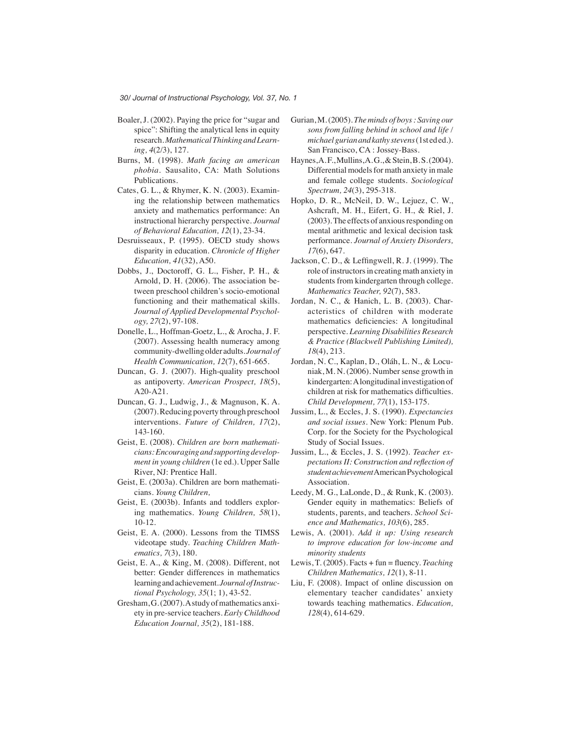- Boaler, J. (2002). Paying the price for "sugar and spice": Shifting the analytical lens in equity research. *Mathematical Thinking and Learning, 4*(2/3), 127.
- Burns, M. (1998). *Math facing an american phobia*. Sausalito, CA: Math Solutions Publications.
- Cates, G. L., & Rhymer, K. N. (2003). Examining the relationship between mathematics anxiety and mathematics performance: An instructional hierarchy perspective. *Journal of Behavioral Education, 12*(1), 23-34.
- Desruisseaux, P. (1995). OECD study shows disparity in education. *Chronicle of Higher Education, 41*(32), A50.
- Dobbs, J., Doctoroff, G. L., Fisher, P. H., & Arnold, D. H. (2006). The association between preschool children's socio-emotional functioning and their mathematical skills. *Journal of Applied Developmental Psychology, 27*(2), 97-108.
- Donelle, L., Hoffman-Goetz, L., & Arocha, J. F. (2007). Assessing health numeracy among community-dwelling older adults. *Journal of Health Communication, 12*(7), 651-665.
- Duncan, G. J. (2007). High-quality preschool as antipoverty. *American Prospect, 18*(5), A20-A21.
- Duncan, G. J., Ludwig, J., & Magnuson, K. A. (2007). Reducing poverty through preschool interventions. *Future of Children, 17*(2), 143-160.
- Geist, E. (2008). *Children are born mathematicians: Encouraging and supporting development in young children* (1e ed.). Upper Salle River, NJ: Prentice Hall.
- Geist, E. (2003a). Children are born mathematicians. *Young Children,*
- Geist, E. (2003b). Infants and toddlers exploring mathematics. *Young Children, 58*(1), 10-12.
- Geist, E. A. (2000). Lessons from the TIMSS videotape study. *Teaching Children Mathematics, 7*(3), 180.
- Geist, E. A., & King, M. (2008). Different, not better: Gender differences in mathematics learning and achievement. *Journal of Instructional Psychology, 35*(1; 1), 43-52.
- Gresham, G. (2007). A study of mathematics anxiety in pre-service teachers. *Early Childhood Education Journal, 35*(2), 181-188.
- Gurian, M. (2005). *The minds of boys : Saving our sons from falling behind in school and life / michael gurian and kathy stevens* (1st ed ed.). San Francisco, CA : Jossey-Bass.
- Haynes, A. F., Mullins, A. G., & Stein, B. S. (2004). Differential models for math anxiety in male and female college students. *Sociological Spectrum, 24*(3), 295-318.
- Hopko, D. R., McNeil, D. W., Lejuez, C. W., Ashcraft, M. H., Eifert, G. H., & Riel, J. (2003). The effects of anxious responding on mental arithmetic and lexical decision task performance. *Journal of Anxiety Disorders, 17*(6), 647.
- Jackson, C. D., & Leffingwell, R. J. (1999). The role of instructors in creating math anxiety in students from kindergarten through college. *Mathematics Teacher, 92*(7), 583.
- Jordan, N. C., & Hanich, L. B. (2003). Characteristics of children with moderate mathematics deficiencies: A longitudinal perspective. *Learning Disabilities Research & Practice (Blackwell Publishing Limited), 18*(4), 213.
- Jordan, N. C., Kaplan, D., Oláh, L. N., & Locuniak, M. N. (2006). Number sense growth in kindergarten: A longitudinal investigation of children at risk for mathematics difficulties. *Child Development, 77*(1), 153-175.
- Jussim, L., & Eccles, J. S. (1990). *Expectancies and social issues*. New York: Plenum Pub. Corp. for the Society for the Psychological Study of Social Issues.
- Jussim, L., & Eccles, J. S. (1992). *Teacher expectations II: Construction and reflection of student achievement* American Psychological Association.
- Leedy, M. G., LaLonde, D., & Runk, K. (2003). Gender equity in mathematics: Beliefs of students, parents, and teachers. *School Science and Mathematics, 103*(6), 285.
- Lewis, A. (2001). *Add it up: Using research to improve education for low-income and minority students*
- Lewis, T. (2005). Facts + fun = fluency. *Teaching Children Mathematics, 12*(1), 8-11.
- Liu, F. (2008). Impact of online discussion on elementary teacher candidates' anxiety towards teaching mathematics. *Education, 128*(4), 614-629.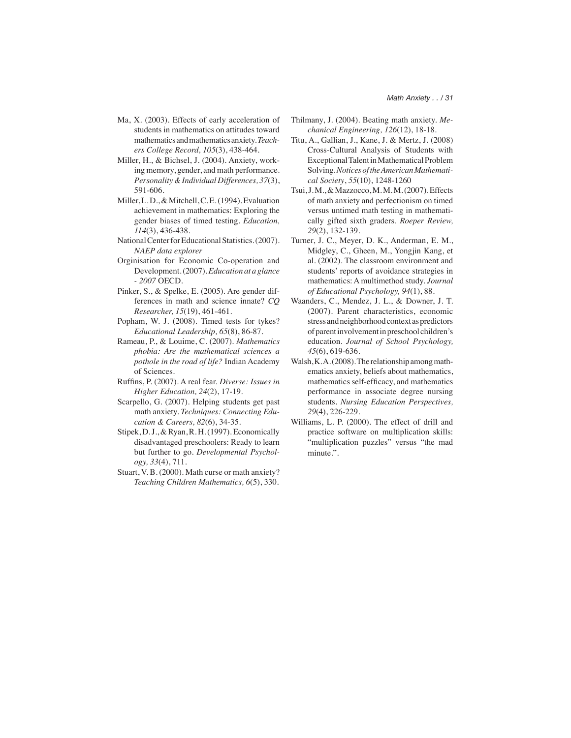- Ma, X. (2003). Effects of early acceleration of students in mathematics on attitudes toward mathematics and mathematics anxiety. *Teachers College Record, 105*(3), 438-464.
- Miller, H., & Bichsel, J. (2004). Anxiety, working memory, gender, and math performance. *Personality & Individual Differences, 37*(3), 591-606.
- Miller, L. D., & Mitchell, C. E. (1994). Evaluation achievement in mathematics: Exploring the gender biases of timed testing. *Education, 114*(3), 436-438.
- National Center for Educational Statistics. (2007). *NAEP data explorer*
- Orginisation for Economic Co-operation and Development. (2007). *Education at a glance - 2007* OECD.
- Pinker, S., & Spelke, E. (2005). Are gender differences in math and science innate? *CQ Researcher, 15*(19), 461-461.
- Popham, W. J. (2008). Timed tests for tykes? *Educational Leadership, 65*(8), 86-87.
- Rameau, P., & Louime, C. (2007). *Mathematics phobia: Are the mathematical sciences a pothole in the road of life?* Indian Academy of Sciences.
- Ruffins, P. (2007). A real fear. *Diverse: Issues in Higher Education, 24*(2), 17-19.
- Scarpello, G. (2007). Helping students get past math anxiety. *Techniques: Connecting Education & Careers, 82*(6), 34-35.
- Stipek, D. J., & Ryan, R. H. (1997). Economically disadvantaged preschoolers: Ready to learn but further to go. *Developmental Psychology, 33*(4), 711.
- Stuart, V. B. (2000). Math curse or math anxiety? *Teaching Children Mathematics, 6*(5), 330.
- Thilmany, J. (2004). Beating math anxiety. *Mechanical Engineering, 126*(12), 18-18.
- Titu, A., Gallian, J., Kane, J. & Mertz, J. (2008) Cross-Cultural Analysis of Students with Exceptional Talent in Mathematical Problem Solving. *Notices of the American Mathematical Society*, *55*(10), 1248-1260
- Tsui, J. M., & Mazzocco, M. M. M. (2007). Effects of math anxiety and perfectionism on timed versus untimed math testing in mathematically gifted sixth graders. *Roeper Review, 29*(2), 132-139.
- Turner, J. C., Meyer, D. K., Anderman, E. M., Midgley, C., Gheen, M., Yongjin Kang, et al. (2002). The classroom environment and students' reports of avoidance strategies in mathematics: A multimethod study. *Journal of Educational Psychology, 94*(1), 88.
- Waanders, C., Mendez, J. L., & Downer, J. T. (2007). Parent characteristics, economic stress and neighborhood context as predictors of parent involvement in preschool children's education. *Journal of School Psychology, 45*(6), 619-636.
- Walsh, K. A. (2008). The relationship among mathematics anxiety, beliefs about mathematics, mathematics self-efficacy, and mathematics performance in associate degree nursing students. *Nursing Education Perspectives, 29*(4), 226-229.
- Williams, L. P. (2000). The effect of drill and practice software on multiplication skills: "multiplication puzzles" versus "the mad minute.".